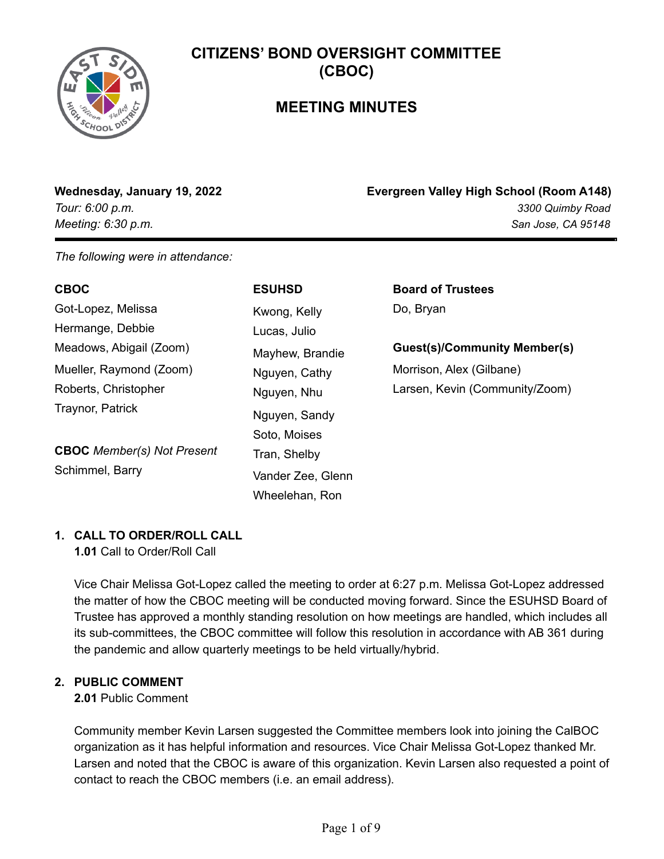

# **MEETING MINUTES**

**Wednesday, January 19, 2022 Evergreen Valley High School (Room A148)** *Tour: 6:00 p.m. 3300 Quimby Road Meeting: 6:30 p.m. San Jose, CA 95148*

*The following were in attendance:*

| <b>CBOC</b>                       | <b>ESUHSD</b>     | <b>Board of Trustees</b>            |
|-----------------------------------|-------------------|-------------------------------------|
| Got-Lopez, Melissa                | Kwong, Kelly      | Do, Bryan                           |
| Hermange, Debbie                  | Lucas, Julio      |                                     |
| Meadows, Abigail (Zoom)           | Mayhew, Brandie   | <b>Guest(s)/Community Member(s)</b> |
| Mueller, Raymond (Zoom)           | Nguyen, Cathy     | Morrison, Alex (Gilbane)            |
| Roberts, Christopher              | Nguyen, Nhu       | Larsen, Kevin (Community/Zoom)      |
| Traynor, Patrick                  | Nguyen, Sandy     |                                     |
|                                   | Soto, Moises      |                                     |
| <b>CBOC</b> Member(s) Not Present | Tran, Shelby      |                                     |
| Schimmel, Barry                   | Vander Zee, Glenn |                                     |
|                                   | Wheelehan, Ron    |                                     |

## **1. CALL TO ORDER/ROLL CALL**

**1.01** Call to Order/Roll Call

Vice Chair Melissa Got-Lopez called the meeting to order at 6:27 p.m. Melissa Got-Lopez addressed the matter of how the CBOC meeting will be conducted moving forward. Since the ESUHSD Board of Trustee has approved a monthly standing resolution on how meetings are handled, which includes all its sub-committees, the CBOC committee will follow this resolution in accordance with AB 361 during the pandemic and allow quarterly meetings to be held virtually/hybrid.

## **2. PUBLIC COMMENT**

## **2.01** Public Comment

Community member Kevin Larsen suggested the Committee members look into joining the CalBOC organization as it has helpful information and resources. Vice Chair Melissa Got-Lopez thanked Mr. Larsen and noted that the CBOC is aware of this organization. Kevin Larsen also requested a point of contact to reach the CBOC members (i.e. an email address).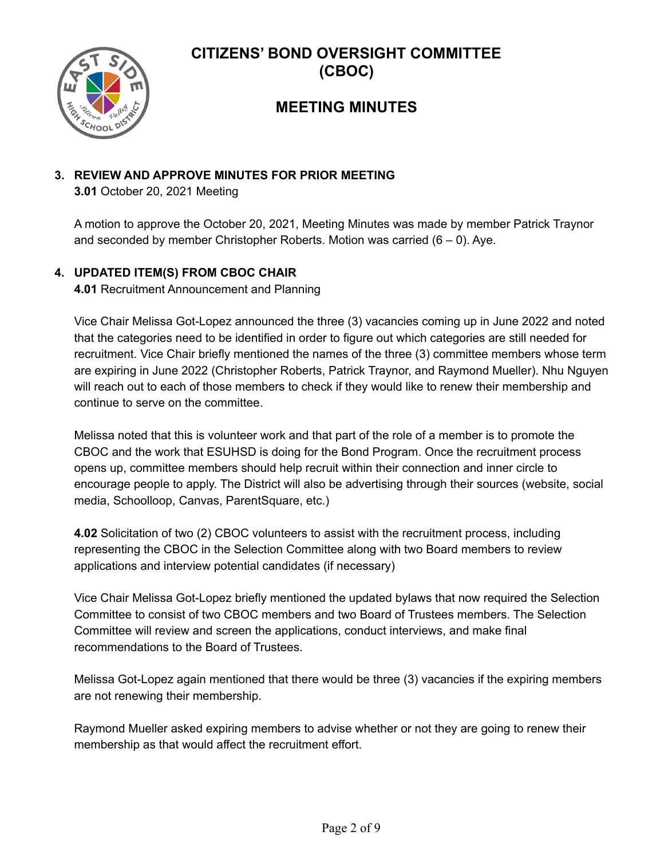

# **MEETING MINUTES**

## **3. REVIEW AND APPROVE MINUTES FOR PRIOR MEETING**

**3.01** October 20, 2021 Meeting

A motion to approve the October 20, 2021, Meeting Minutes was made by member Patrick Traynor and seconded by member Christopher Roberts. Motion was carried  $(6 - 0)$ . Aye.

## **4. UPDATED ITEM(S) FROM CBOC CHAIR**

**4.01** Recruitment Announcement and Planning

Vice Chair Melissa Got-Lopez announced the three (3) vacancies coming up in June 2022 and noted that the categories need to be identified in order to figure out which categories are still needed for recruitment. Vice Chair briefly mentioned the names of the three (3) committee members whose term are expiring in June 2022 (Christopher Roberts, Patrick Traynor, and Raymond Mueller). Nhu Nguyen will reach out to each of those members to check if they would like to renew their membership and continue to serve on the committee.

Melissa noted that this is volunteer work and that part of the role of a member is to promote the CBOC and the work that ESUHSD is doing for the Bond Program. Once the recruitment process opens up, committee members should help recruit within their connection and inner circle to encourage people to apply. The District will also be advertising through their sources (website, social media, Schoolloop, Canvas, ParentSquare, etc.)

**4.02** Solicitation of two (2) CBOC volunteers to assist with the recruitment process, including representing the CBOC in the Selection Committee along with two Board members to review applications and interview potential candidates (if necessary)

Vice Chair Melissa Got-Lopez briefly mentioned the updated bylaws that now required the Selection Committee to consist of two CBOC members and two Board of Trustees members. The Selection Committee will review and screen the applications, conduct interviews, and make final recommendations to the Board of Trustees.

Melissa Got-Lopez again mentioned that there would be three (3) vacancies if the expiring members are not renewing their membership.

Raymond Mueller asked expiring members to advise whether or not they are going to renew their membership as that would affect the recruitment effort.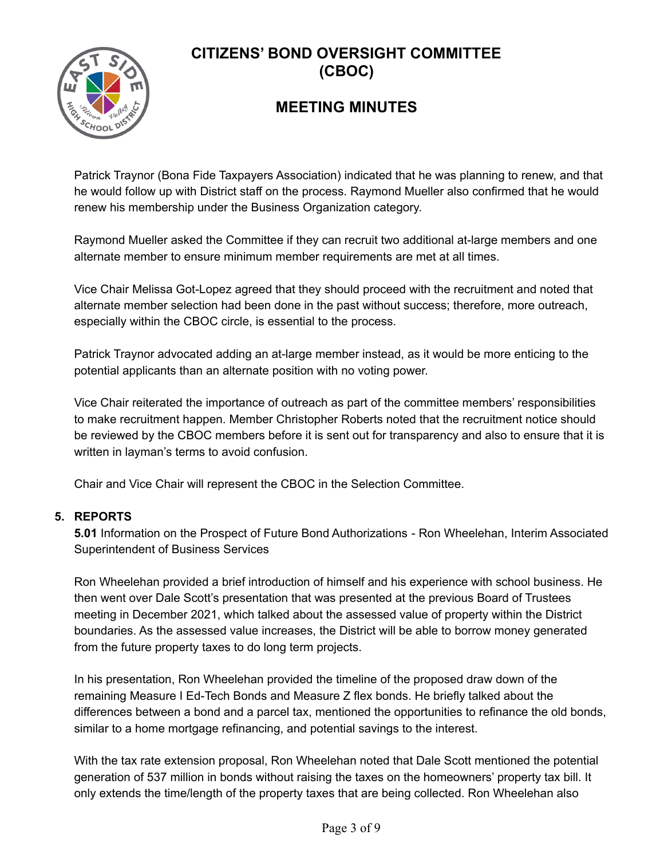

# **MEETING MINUTES**

Patrick Traynor (Bona Fide Taxpayers Association) indicated that he was planning to renew, and that he would follow up with District staff on the process. Raymond Mueller also confirmed that he would renew his membership under the Business Organization category.

Raymond Mueller asked the Committee if they can recruit two additional at-large members and one alternate member to ensure minimum member requirements are met at all times.

Vice Chair Melissa Got-Lopez agreed that they should proceed with the recruitment and noted that alternate member selection had been done in the past without success; therefore, more outreach, especially within the CBOC circle, is essential to the process.

Patrick Traynor advocated adding an at-large member instead, as it would be more enticing to the potential applicants than an alternate position with no voting power.

Vice Chair reiterated the importance of outreach as part of the committee members' responsibilities to make recruitment happen. Member Christopher Roberts noted that the recruitment notice should be reviewed by the CBOC members before it is sent out for transparency and also to ensure that it is written in layman's terms to avoid confusion.

Chair and Vice Chair will represent the CBOC in the Selection Committee.

## **5. REPORTS**

**5.01** Information on the Prospect of Future Bond Authorizations - Ron Wheelehan, Interim Associated Superintendent of Business Services

Ron Wheelehan provided a brief introduction of himself and his experience with school business. He then went over Dale Scott's presentation that was presented at the previous Board of Trustees meeting in December 2021, which talked about the assessed value of property within the District boundaries. As the assessed value increases, the District will be able to borrow money generated from the future property taxes to do long term projects.

In his presentation, Ron Wheelehan provided the timeline of the proposed draw down of the remaining Measure I Ed-Tech Bonds and Measure Z flex bonds. He briefly talked about the differences between a bond and a parcel tax, mentioned the opportunities to refinance the old bonds, similar to a home mortgage refinancing, and potential savings to the interest.

With the tax rate extension proposal, Ron Wheelehan noted that Dale Scott mentioned the potential generation of 537 million in bonds without raising the taxes on the homeowners' property tax bill. It only extends the time/length of the property taxes that are being collected. Ron Wheelehan also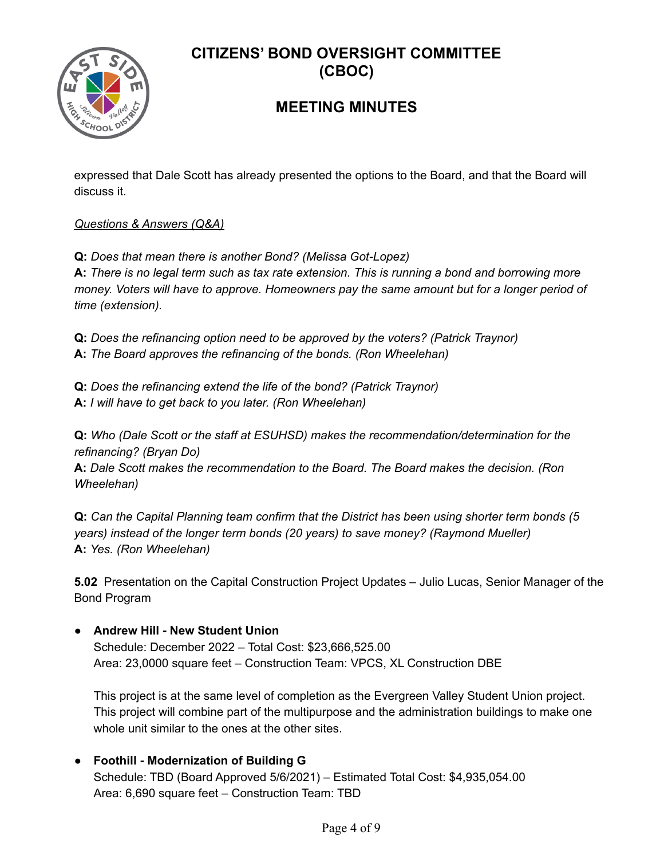

# **MEETING MINUTES**

expressed that Dale Scott has already presented the options to the Board, and that the Board will discuss it.

## *Questions & Answers (Q&A)*

**Q:** *Does that mean there is another Bond? (Melissa Got-Lopez)*

**A:** *There is no legal term such as tax rate extension. This is running a bond and borrowing more money. Voters will have to approve. Homeowners pay the same amount but for a longer period of time (extension).*

**Q:** *Does the refinancing option need to be approved by the voters? (Patrick Traynor)* **A:** *The Board approves the refinancing of the bonds. (Ron Wheelehan)*

**Q:** *Does the refinancing extend the life of the bond? (Patrick Traynor)* **A:** *I will have to get back to you later. (Ron Wheelehan)*

**Q:** *Who (Dale Scott or the staff at ESUHSD) makes the recommendation/determination for the refinancing? (Bryan Do)*

**A:** *Dale Scott makes the recommendation to the Board. The Board makes the decision. (Ron Wheelehan)*

**Q:** *Can the Capital Planning team confirm that the District has been using shorter term bonds (5 years) instead of the longer term bonds (20 years) to save money? (Raymond Mueller)* **A:** *Yes. (Ron Wheelehan)*

**5.02** Presentation on the Capital Construction Project Updates – Julio Lucas, Senior Manager of the Bond Program

## **● Andrew Hill - New Student Union**

Schedule: December 2022 – Total Cost: \$23,666,525.00 Area: 23,0000 square feet – Construction Team: VPCS, XL Construction DBE

This project is at the same level of completion as the Evergreen Valley Student Union project. This project will combine part of the multipurpose and the administration buildings to make one whole unit similar to the ones at the other sites.

**● Foothill - Modernization of Building G** Schedule: TBD (Board Approved 5/6/2021) – Estimated Total Cost: \$4,935,054.00 Area: 6,690 square feet – Construction Team: TBD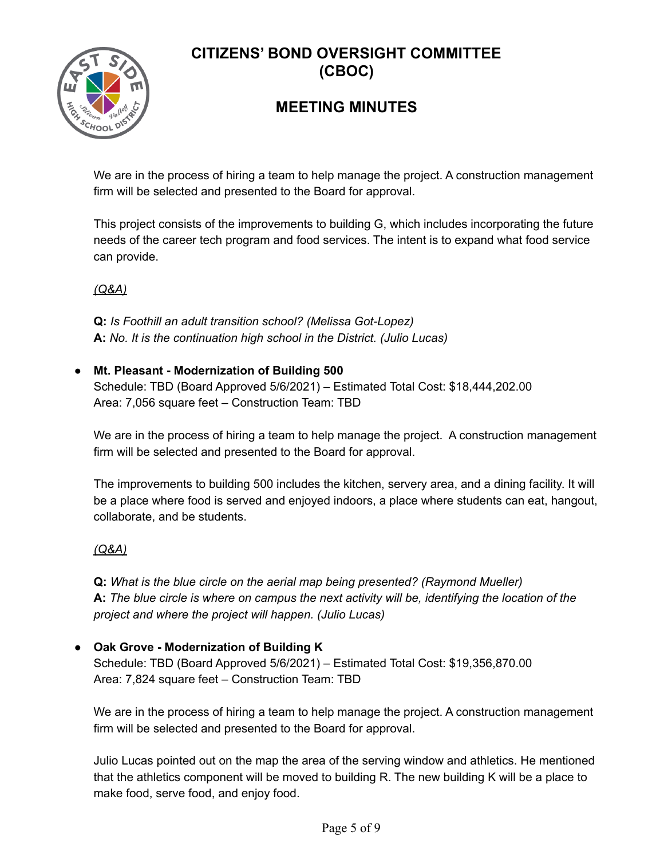

# **MEETING MINUTES**

We are in the process of hiring a team to help manage the project. A construction management firm will be selected and presented to the Board for approval.

This project consists of the improvements to building G, which includes incorporating the future needs of the career tech program and food services. The intent is to expand what food service can provide.

*(Q&A)*

**Q:** *Is Foothill an adult transition school? (Melissa Got-Lopez)* **A:** *No. It is the continuation high school in the District. (Julio Lucas)*

## **● Mt. Pleasant - Modernization of Building 500**

Schedule: TBD (Board Approved 5/6/2021) – Estimated Total Cost: \$18,444,202.00 Area: 7,056 square feet – Construction Team: TBD

We are in the process of hiring a team to help manage the project. A construction management firm will be selected and presented to the Board for approval.

The improvements to building 500 includes the kitchen, servery area, and a dining facility. It will be a place where food is served and enjoyed indoors, a place where students can eat, hangout, collaborate, and be students.

## *(Q&A)*

**Q:** *What is the blue circle on the aerial map being presented? (Raymond Mueller)* **A:** *The blue circle is where on campus the next activity will be, identifying the location of the project and where the project will happen. (Julio Lucas)*

## **● Oak Grove - Modernization of Building K**

Schedule: TBD (Board Approved 5/6/2021) – Estimated Total Cost: \$19,356,870.00 Area: 7,824 square feet – Construction Team: TBD

We are in the process of hiring a team to help manage the project. A construction management firm will be selected and presented to the Board for approval.

Julio Lucas pointed out on the map the area of the serving window and athletics. He mentioned that the athletics component will be moved to building R. The new building K will be a place to make food, serve food, and enjoy food.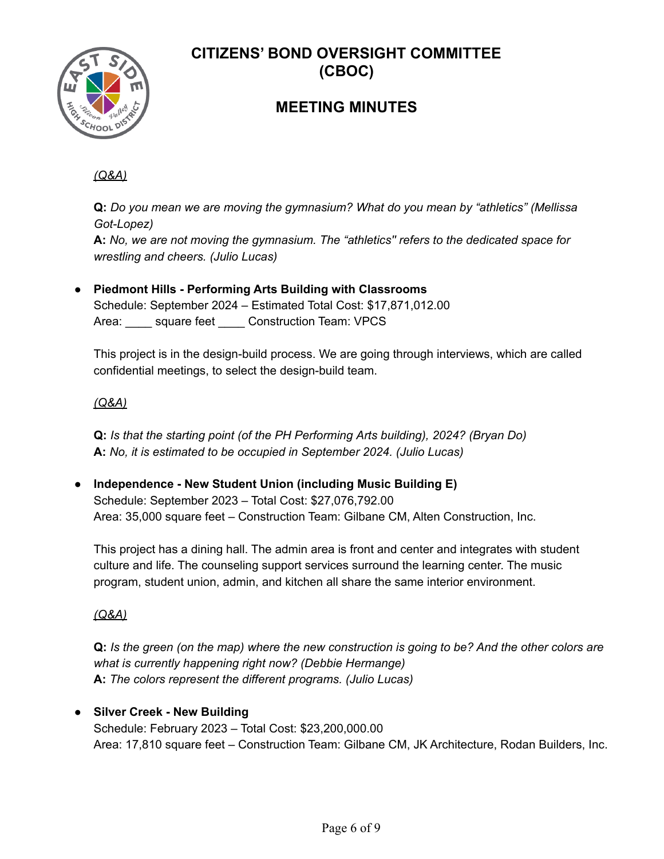

# **MEETING MINUTES**

## *(Q&A)*

**Q:** *Do you mean we are moving the gymnasium? What do you mean by "athletics" (Mellissa Got-Lopez)* **A:** *No, we are not moving the gymnasium. The "athletics'' refers to the dedicated space for*

*wrestling and cheers. (Julio Lucas)*

**● Piedmont Hills - Performing Arts Building with Classrooms** Schedule: September 2024 – Estimated Total Cost: \$17,871,012.00 Area: square feet Construction Team: VPCS

This project is in the design-build process. We are going through interviews, which are called confidential meetings, to select the design-build team.

## *(Q&A)*

**Q:** *Is that the starting point (of the PH Performing Arts building), 2024? (Bryan Do)* **A:** *No, it is estimated to be occupied in September 2024. (Julio Lucas)*

**● lndependence - New Student Union (including Music Building E)** Schedule: September 2023 – Total Cost: \$27,076,792.00 Area: 35,000 square feet – Construction Team: Gilbane CM, Alten Construction, Inc.

This project has a dining hall. The admin area is front and center and integrates with student culture and life. The counseling support services surround the learning center. The music program, student union, admin, and kitchen all share the same interior environment.

## *(Q&A)*

**Q:** *Is the green (on the map) where the new construction is going to be? And the other colors are what is currently happening right now? (Debbie Hermange)* **A:** *The colors represent the different programs. (Julio Lucas)*

## **● Silver Creek - New Building**

Schedule: February 2023 – Total Cost: \$23,200,000.00 Area: 17,810 square feet – Construction Team: Gilbane CM, JK Architecture, Rodan Builders, Inc.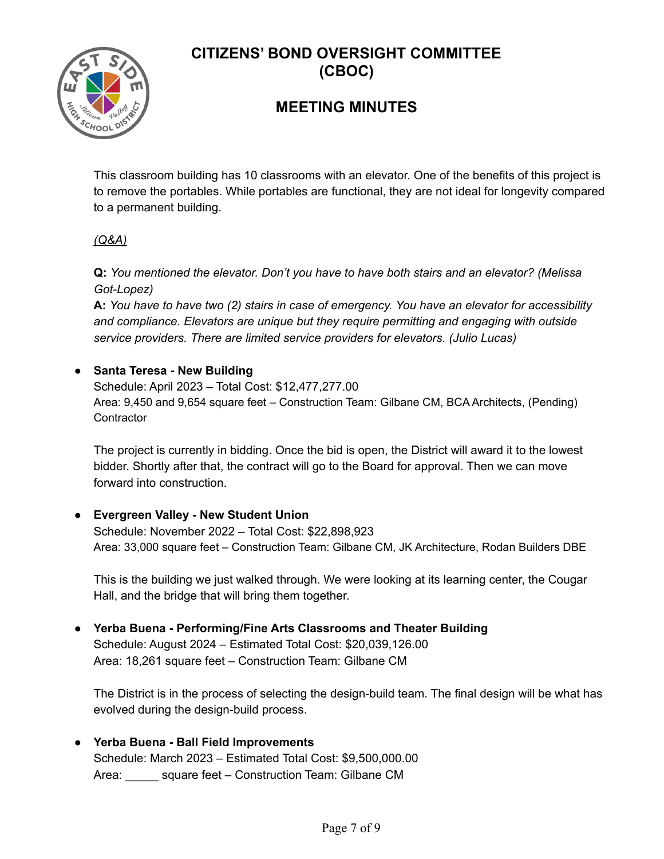

# **MEETING MINUTES**

This classroom building has 10 classrooms with an elevator. One of the benefits of this project is to remove the portables. While portables are functional, they are not ideal for longevity compared to a permanent building.

## *(Q&A)*

**Q:** *You mentioned the elevator. Don't you have to have both stairs and an elevator? (Melissa Got-Lopez)*

**A:** *You have to have two (2) stairs in case of emergency. You have an elevator for accessibility and compliance. Elevators are unique but they require permitting and engaging with outside service providers. There are limited service providers for elevators. (Julio Lucas)*

## **● Santa Teresa - New Building**

Schedule: April 2023 – Total Cost: \$12,477,277.00 Area: 9,450 and 9,654 square feet – Construction Team: Gilbane CM, BCA Architects, (Pending) **Contractor** 

The project is currently in bidding. Once the bid is open, the District will award it to the lowest bidder. Shortly after that, the contract will go to the Board for approval. Then we can move forward into construction.

## **● Evergreen Valley - New Student Union**

Schedule: November 2022 – Total Cost: \$22,898,923 Area: 33,000 square feet – Construction Team: Gilbane CM, JK Architecture, Rodan Builders DBE

This is the building we just walked through. We were looking at its learning center, the Cougar Hall, and the bridge that will bring them together.

#### **● Yerba Buena - Performing/Fine Arts Classrooms and Theater Building** Schedule: August 2024 – Estimated Total Cost: \$20,039,126.00 Area: 18,261 square feet – Construction Team: Gilbane CM

The District is in the process of selecting the design-build team. The final design will be what has evolved during the design-build process.

## **● Yerba Buena - Ball Field Improvements**

Schedule: March 2023 – Estimated Total Cost: \$9,500,000.00 Area: square feet – Construction Team: Gilbane CM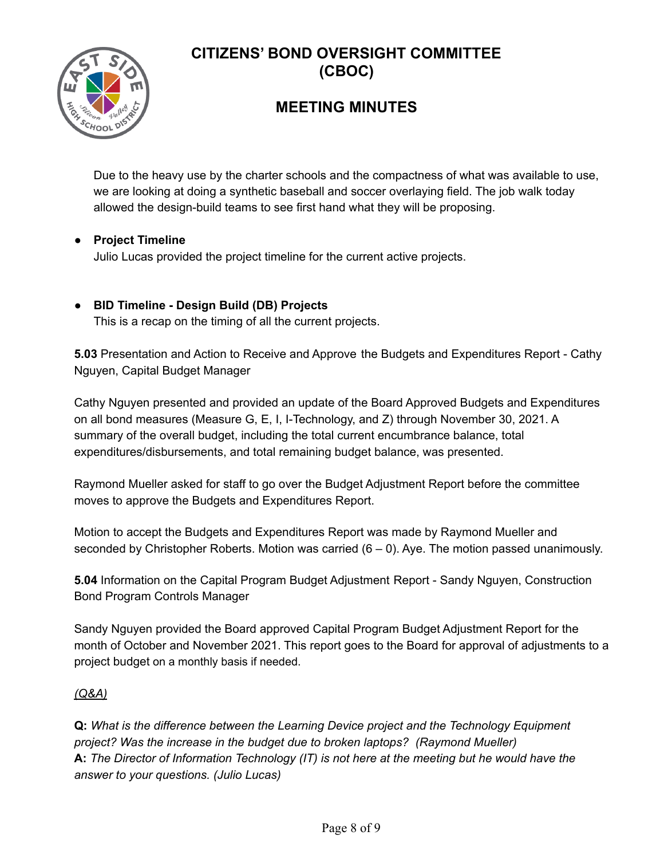

# **MEETING MINUTES**

Due to the heavy use by the charter schools and the compactness of what was available to use, we are looking at doing a synthetic baseball and soccer overlaying field. The job walk today allowed the design-build teams to see first hand what they will be proposing.

## ● **Project Timeline**

Julio Lucas provided the project timeline for the current active projects.

## **● BID Timeline - Design Build (DB) Projects**

This is a recap on the timing of all the current projects.

**5.03** Presentation and Action to Receive and Approve the Budgets and Expenditures Report - Cathy Nguyen, Capital Budget Manager

Cathy Nguyen presented and provided an update of the Board Approved Budgets and Expenditures on all bond measures (Measure G, E, I, I-Technology, and Z) through November 30, 2021. A summary of the overall budget, including the total current encumbrance balance, total expenditures/disbursements, and total remaining budget balance, was presented.

Raymond Mueller asked for staff to go over the Budget Adjustment Report before the committee moves to approve the Budgets and Expenditures Report.

Motion to accept the Budgets and Expenditures Report was made by Raymond Mueller and seconded by Christopher Roberts. Motion was carried  $(6 - 0)$ . Aye. The motion passed unanimously.

**5.04** Information on the Capital Program Budget Adjustment Report - Sandy Nguyen, Construction Bond Program Controls Manager

Sandy Nguyen provided the Board approved Capital Program Budget Adjustment Report for the month of October and November 2021. This report goes to the Board for approval of adjustments to a project budget on a monthly basis if needed.

## *(Q&A)*

**Q:** *What is the difference between the Learning Device project and the Technology Equipment project? Was the increase in the budget due to broken laptops? (Raymond Mueller)* **A:** *The Director of Information Technology (IT) is not here at the meeting but he would have the answer to your questions. (Julio Lucas)*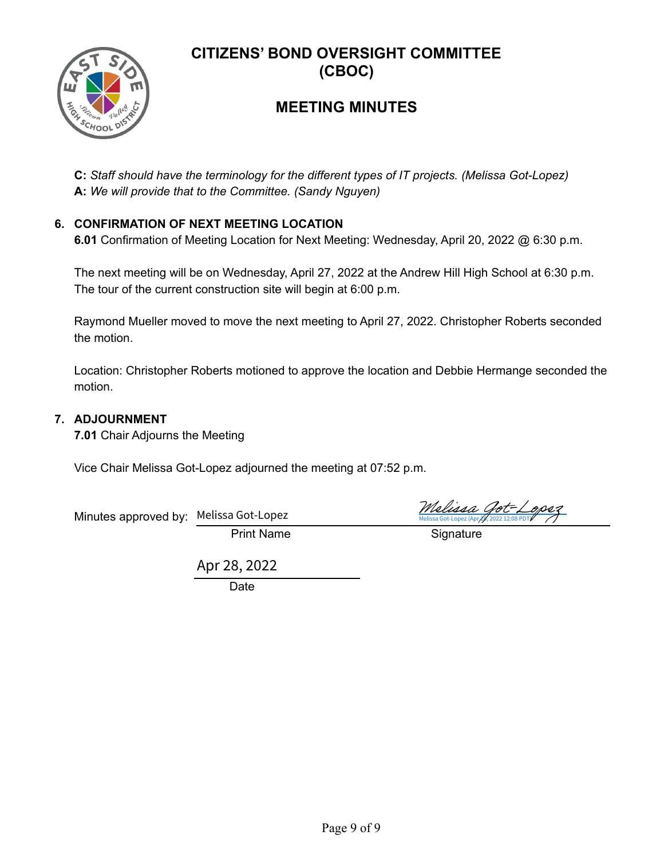

# **MEETING MINUTES**

**C:** *Staff should have the terminology for the different types of IT projects. (Melissa Got-Lopez)* **A:** *We will provide that to the Committee. (Sandy Nguyen)*

#### **6. CONFIRMATION OF NEXT MEETING LOCATION**

**6.01** Confirmation of Meeting Location for Next Meeting: Wednesday, April 20, 2022 @ 6:30 p.m.

The next meeting will be on Wednesday, April 27, 2022 at the Andrew Hill High School at 6:30 p.m. The tour of the current construction site will begin at 6:00 p.m.

Raymond Mueller moved to move the next meeting to April 27, 2022. Christopher Roberts seconded the motion.

Location: Christopher Roberts motioned to approve the location and Debbie Hermange seconded the motion.

#### **7. ADJOURNMENT**

**7.01** Chair Adjourns the Meeting

Vice Chair Melissa Got-Lopez adjourned the meeting at 07:52 p.m.

| Minutes approved by: Melissa Got-Lopez |                   | Melissa Got-Lopez<br>Melissa Got-Lopez (Apr/p, 2022 12:08 PDTV |
|----------------------------------------|-------------------|----------------------------------------------------------------|
|                                        | <b>Print Name</b> | Signature                                                      |

Apr 28, 2022

Date